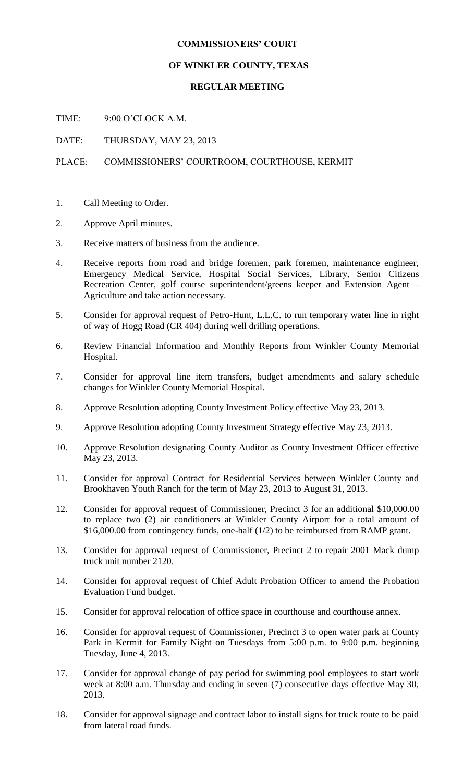## **COMMISSIONERS' COURT**

## **OF WINKLER COUNTY, TEXAS**

## **REGULAR MEETING**

TIME: 9:00 O'CLOCK A.M.

DATE: THURSDAY, MAY 23, 2013

PLACE: COMMISSIONERS' COURTROOM, COURTHOUSE, KERMIT

- 1. Call Meeting to Order.
- 2. Approve April minutes.
- 3. Receive matters of business from the audience.
- 4. Receive reports from road and bridge foremen, park foremen, maintenance engineer, Emergency Medical Service, Hospital Social Services, Library, Senior Citizens Recreation Center, golf course superintendent/greens keeper and Extension Agent – Agriculture and take action necessary.
- 5. Consider for approval request of Petro-Hunt, L.L.C. to run temporary water line in right of way of Hogg Road (CR 404) during well drilling operations.
- 6. Review Financial Information and Monthly Reports from Winkler County Memorial Hospital.
- 7. Consider for approval line item transfers, budget amendments and salary schedule changes for Winkler County Memorial Hospital.
- 8. Approve Resolution adopting County Investment Policy effective May 23, 2013.
- 9. Approve Resolution adopting County Investment Strategy effective May 23, 2013.
- 10. Approve Resolution designating County Auditor as County Investment Officer effective May 23, 2013.
- 11. Consider for approval Contract for Residential Services between Winkler County and Brookhaven Youth Ranch for the term of May 23, 2013 to August 31, 2013.
- 12. Consider for approval request of Commissioner, Precinct 3 for an additional \$10,000.00 to replace two (2) air conditioners at Winkler County Airport for a total amount of \$16,000.00 from contingency funds, one-half (1/2) to be reimbursed from RAMP grant.
- 13. Consider for approval request of Commissioner, Precinct 2 to repair 2001 Mack dump truck unit number 2120.
- 14. Consider for approval request of Chief Adult Probation Officer to amend the Probation Evaluation Fund budget.
- 15. Consider for approval relocation of office space in courthouse and courthouse annex.
- 16. Consider for approval request of Commissioner, Precinct 3 to open water park at County Park in Kermit for Family Night on Tuesdays from 5:00 p.m. to 9:00 p.m. beginning Tuesday, June 4, 2013.
- 17. Consider for approval change of pay period for swimming pool employees to start work week at 8:00 a.m. Thursday and ending in seven (7) consecutive days effective May 30, 2013.
- 18. Consider for approval signage and contract labor to install signs for truck route to be paid from lateral road funds.